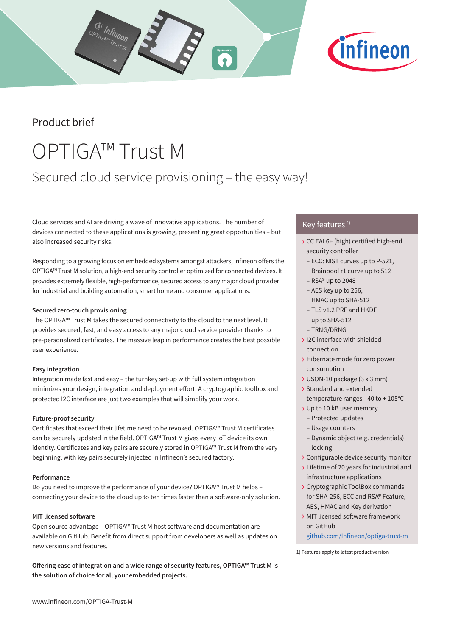## Product brief

# OPTIGA™ Trust M

## Secured cloud service provisioning – the easy way!

Cloud services and AI are driving a wave of innovative applications. The number of devices connected to these applications is growing, presenting great opportunities – but also increased security risks.

Responding to a growing focus on embedded systems amongst attackers, Infineon offers the OPTIGA™ Trust M solution, a high-end security controller optimized for connected devices. It provides extremely flexible, high-performance, secured access to any major cloud provider for industrial and building automation, smart home and consumer applications.

### **Secured zero-touch provisioning**

The OPTIGA™ Trust M takes the secured connectivity to the cloud to the next level. It provides secured, fast, and easy access to any major cloud service provider thanks to pre-personalized certificates. The massive leap in performance creates the best possible user experience.

### **Easy integration**

Integration made fast and easy – the turnkey set-up with full system integration minimizes your design, integration and deployment effort. A cryptographic toolbox and protected I2C interface are just two examples that will simplify your work.

#### **Future-proof security**

Certificates that exceed their lifetime need to be revoked. OPTIGA™ Trust M certificates can be securely updated in the field. OPTIGA™ Trust M gives every IoT device its own identity. Certificates and key pairs are securely stored in OPTIGA™ Trust M from the very beginning, with key pairs securely injected in Infineon's secured factory.

#### **Performance**

Do you need to improve the performance of your device? OPTIGA™ Trust M helps – connecting your device to the cloud up to ten times faster than a software-only solution.

#### **MIT licensed software**

Open source advantage – OPTIGA™ Trust M host software and documentation are available on GitHub. Benefit from direct support from developers as well as updates on new versions and features.

**Offering ease of integration and a wide range of security features, OPTIGA™ Trust M is the solution of choice for all your embedded projects.**

#### Key features  $1$ )

- › CC EAL6+ (high) certified high-end security controller
	- ECC: NIST curves up to P-521, Brainpool r1 curve up to 512
	- RSA® up to 2048
	- AES key up to 256, HMAC up to SHA-512
	- TLS v1.2 PRF and HKDF up to SHA-512
	- TRNG/DRNG
- › I2C interface with shielded connection
- › Hibernate mode for zero power consumption
- › USON-10 package (3 x 3 mm)
- › Standard and extended
- temperature ranges: -40 to + 105°C
- › Up to 10 kB user memory – Protected updates
	- Usage counters
- Dynamic object (e.g. credentials) locking
- › Configurable device security monitor
- › Lifetime of 20 years for industrial and infrastructure applications
- › Cryptographic ToolBox commands for SHA-256, ECC and RSA® Feature, AES, HMAC and Key derivation
- › MIT licensed software framework on GitHub

github.com/Infineon/optiga-trust-m

1) Features apply to latest product version